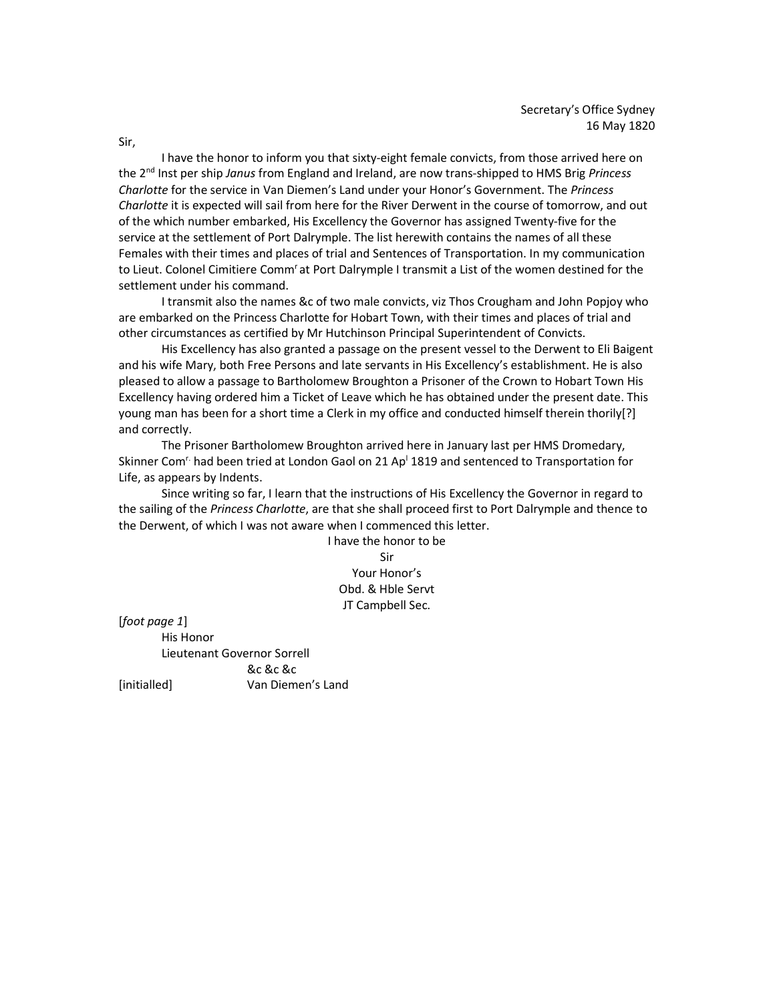I have the honor to inform you that sixty-eight female convicts, from those arrived here on the 2<sup>nd</sup> Inst per ship Janus from England and Ireland, are now trans-shipped to HMS Brig Princess Charlotte for the service in Van Diemen's Land under your Honor's Government. The Princess Charlotte it is expected will sail from here for the River Derwent in the course of tomorrow, and out of the which number embarked, His Excellency the Governor has assigned Twenty-five for the service at the settlement of Port Dalrymple. The list herewith contains the names of all these Females with their times and places of trial and Sentences of Transportation. In my communication to Lieut. Colonel Cimitiere Comm<sup>r</sup>at Port Dalrymple I transmit a List of the women destined for the settlement under his command.

 I transmit also the names &c of two male convicts, viz Thos Crougham and John Popjoy who are embarked on the Princess Charlotte for Hobart Town, with their times and places of trial and other circumstances as certified by Mr Hutchinson Principal Superintendent of Convicts.

 His Excellency has also granted a passage on the present vessel to the Derwent to Eli Baigent and his wife Mary, both Free Persons and late servants in His Excellency's establishment. He is also pleased to allow a passage to Bartholomew Broughton a Prisoner of the Crown to Hobart Town His Excellency having ordered him a Ticket of Leave which he has obtained under the present date. This young man has been for a short time a Clerk in my office and conducted himself therein thorily[?] and correctly.

 The Prisoner Bartholomew Broughton arrived here in January last per HMS Dromedary, Skinner Com<sup>r.</sup> had been tried at London Gaol on 21 Ap<sup>1</sup> 1819 and sentenced to Transportation for Life, as appears by Indents.

 Since writing so far, I learn that the instructions of His Excellency the Governor in regard to the sailing of the Princess Charlotte, are that she shall proceed first to Port Dalrymple and thence to the Derwent, of which I was not aware when I commenced this letter.

I have the honor to be Sir Your Honor's Obd. & Hble Servt JT Campbell Sec.

[foot page 1]

 His Honor Lieutenant Governor Sorrell

 &c &c &c [initialled] Van Diemen's Land

Sir,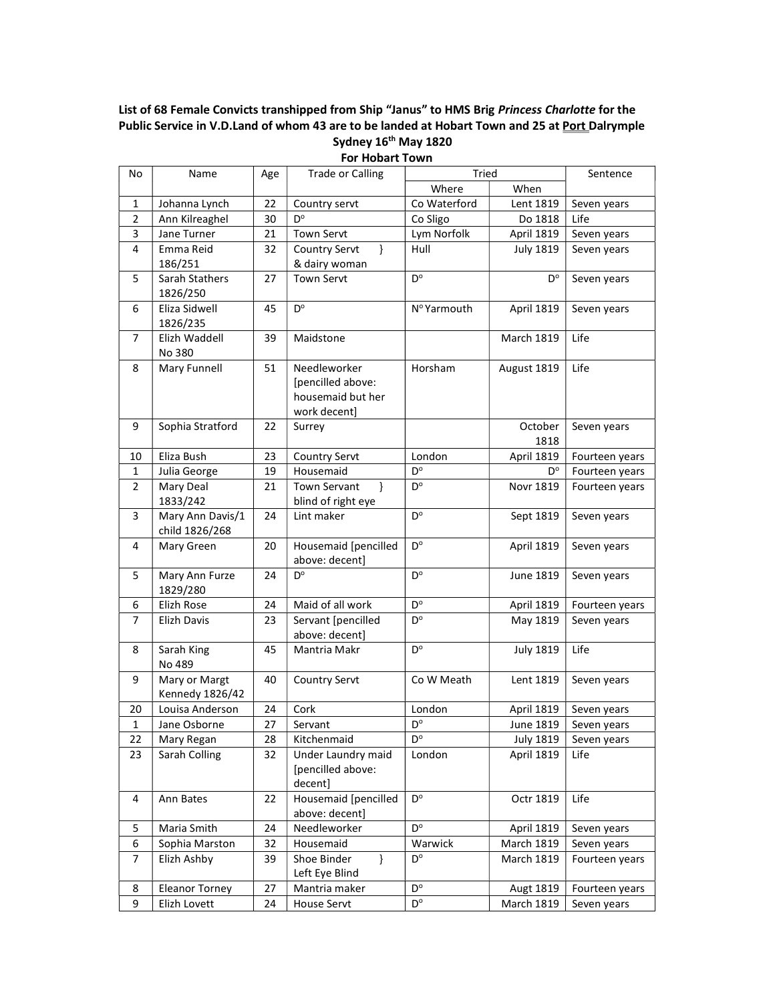## List of 68 Female Convicts transhipped from Ship "Janus" to HMS Brig Princess Charlotte for the Public Service in V.D.Land of whom 43 are to be landed at Hobart Town and 25 at Port Dalrymple Sydney 16<sup>th</sup> May 1820

| No             | Name                       | Age | <b>Trade or Calling</b>                | Tried                     |                   | Sentence       |
|----------------|----------------------------|-----|----------------------------------------|---------------------------|-------------------|----------------|
|                |                            |     |                                        | Where                     | When              |                |
| $\mathbf{1}$   | Johanna Lynch              | 22  | Country servt                          | Co Waterford              | Lent 1819         | Seven years    |
| $\overline{2}$ | Ann Kilreaghel             | 30  | D°                                     | Co Sligo                  | Do 1818           | Life           |
| 3              | Jane Turner                | 21  | <b>Town Servt</b>                      | Lym Norfolk               | April 1819        | Seven years    |
| 4              | Emma Reid                  | 32  | Country Servt<br>$\mathcal{F}$         | Hull                      | <b>July 1819</b>  | Seven years    |
|                | 186/251                    |     | & dairy woman                          |                           |                   |                |
| 5              | Sarah Stathers             | 27  | <b>Town Servt</b>                      | $D^{\circ}$               | $D^{\circ}$       | Seven years    |
|                | 1826/250                   |     |                                        |                           |                   |                |
| 6              | Eliza Sidwell              | 45  | $D^{\circ}$                            | Nº Yarmouth               | April 1819        | Seven years    |
| $\overline{7}$ | 1826/235                   | 39  | Maidstone                              |                           | <b>March 1819</b> | Life           |
|                | Elizh Waddell<br>No 380    |     |                                        |                           |                   |                |
| 8              | Mary Funnell               | 51  | Needleworker                           | <b>Horsham</b>            | August 1819       | Life           |
|                |                            |     | [pencilled above:                      |                           |                   |                |
|                |                            |     | housemaid but her                      |                           |                   |                |
|                |                            |     | work decent]                           |                           |                   |                |
| 9              | Sophia Stratford           | 22  | Surrey                                 |                           | October           | Seven years    |
|                |                            |     |                                        |                           | 1818              |                |
| 10             | Eliza Bush                 | 23  | Country Servt                          | London                    | April 1819        | Fourteen years |
| $\mathbf{1}$   | Julia George               | 19  | Housemaid                              | $\mathsf{D}^{\mathsf{o}}$ | $D^{\circ}$       | Fourteen years |
| $\overline{2}$ | Mary Deal                  | 21  | <b>Town Servant</b><br>$\mathcal{F}$   | D°                        | Novr 1819         | Fourteen years |
|                | 1833/242                   |     | blind of right eye                     |                           |                   |                |
| 3              | Mary Ann Davis/1           | 24  | Lint maker                             | $D^{\circ}$               | Sept 1819         | Seven years    |
|                | child 1826/268             |     |                                        |                           |                   |                |
| 4              | Mary Green                 | 20  | Housemaid [pencilled                   | D°                        | April 1819        | Seven years    |
| 5              |                            | 24  | above: decent]<br>D°                   | $D^{\circ}$               |                   |                |
|                | Mary Ann Furze<br>1829/280 |     |                                        |                           | June 1819         | Seven years    |
| 6              | Elizh Rose                 | 24  | Maid of all work                       | D°                        | April 1819        | Fourteen years |
| $\overline{7}$ | Elizh Davis                | 23  | Servant [pencilled                     | D°                        | May 1819          | Seven years    |
|                |                            |     | above: decent]                         |                           |                   |                |
| 8              | Sarah King                 | 45  | Mantria Makr                           | $D^{\circ}$               | <b>July 1819</b>  | Life           |
|                | No 489                     |     |                                        |                           |                   |                |
| 9              | Mary or Margt              | 40  | Country Servt                          | Co W Meath                | Lent 1819         | Seven years    |
|                | Kennedy 1826/42            |     |                                        |                           |                   |                |
| 20             | Louisa Anderson            | 24  | Cork                                   | London                    | <b>April 1819</b> | Seven years    |
| $\mathbf{1}$   | Jane Osborne               | 27  | Servant                                | D°                        | June 1819         | Seven years    |
| 22             | Mary Regan                 | 28  | Kitchenmaid                            | $D^{\circ}$               | <b>July 1819</b>  | Seven years    |
| 23             | Sarah Colling              | 32  | Under Laundry maid                     | London                    | April 1819        | Life           |
|                |                            |     | [pencilled above:                      |                           |                   |                |
|                |                            |     | decent]                                |                           |                   |                |
| 4              | Ann Bates                  | 22  | Housemaid [pencilled<br>above: decent] | D°                        | Octr 1819         | Life           |
| 5              | Maria Smith                | 24  | Needleworker                           | $\mathsf{D}^{\mathsf{o}}$ | April 1819        | Seven years    |
| 6              | Sophia Marston             | 32  | Housemaid                              | Warwick                   | March 1819        | Seven years    |
| 7              | Elizh Ashby                | 39  | Shoe Binder<br>$\mathcal{E}$           | $D^{\circ}$               | March 1819        | Fourteen years |
|                |                            |     | Left Eye Blind                         |                           |                   |                |
| 8              | <b>Eleanor Torney</b>      | 27  | Mantria maker                          | $D^{\circ}$               | Augt 1819         | Fourteen years |
| 9              | Elizh Lovett               | 24  | House Servt                            | $\mathsf{D}^{\mathsf{o}}$ | March 1819        | Seven years    |

For Hobart Town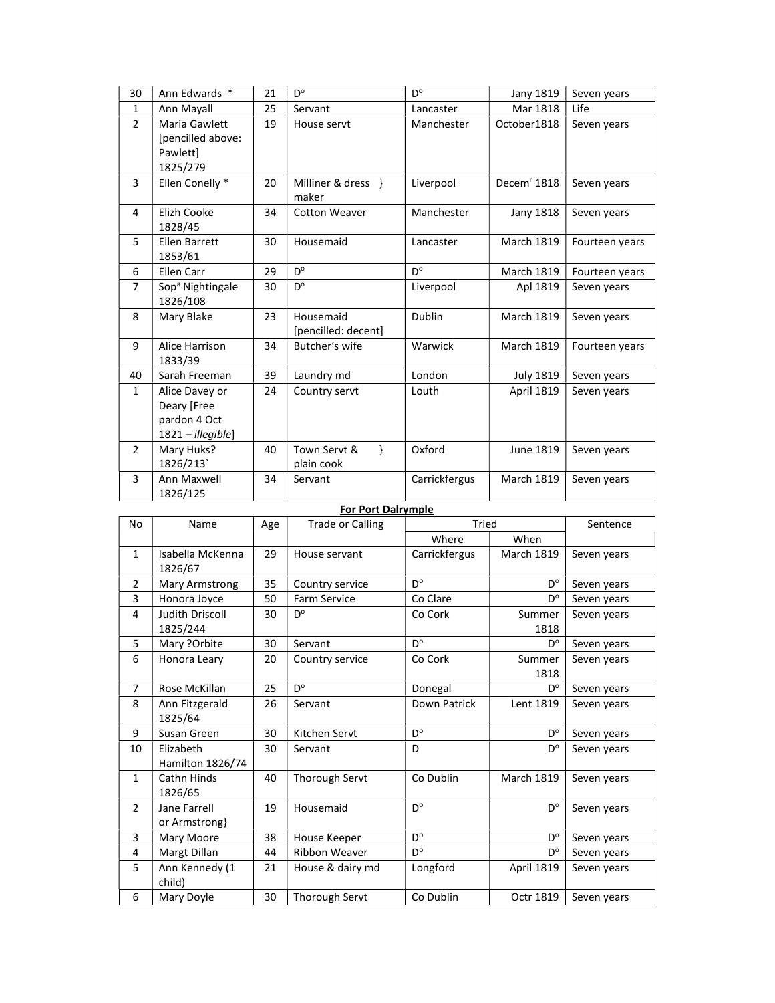| 30                        | Ann Edwards *                                                         | 21 | D°                                          | D°            | Jany 1819               | Seven years    |
|---------------------------|-----------------------------------------------------------------------|----|---------------------------------------------|---------------|-------------------------|----------------|
| $\mathbf{1}$              | Ann Mayall                                                            | 25 | Servant                                     | Lancaster     | Mar 1818                | Life           |
| $\overline{2}$            | Maria Gawlett<br>[pencilled above:<br>Pawlett]<br>1825/279            | 19 | House servt                                 | Manchester    | October1818             | Seven years    |
| 3                         | Ellen Conelly *                                                       | 20 | Milliner & dress }<br>maker                 | Liverpool     | Decem <sup>r</sup> 1818 | Seven years    |
| 4                         | Elizh Cooke<br>1828/45                                                | 34 | Cotton Weaver                               | Manchester    | Jany 1818               | Seven years    |
| 5                         | <b>Ellen Barrett</b><br>1853/61                                       | 30 | Housemaid                                   | Lancaster     | <b>March 1819</b>       | Fourteen years |
| 6                         | Ellen Carr                                                            | 29 | D°                                          | D°            | <b>March 1819</b>       | Fourteen years |
| $\overline{7}$            | Sop <sup>a</sup> Nightingale<br>1826/108                              | 30 | D°                                          | Liverpool     | Apl 1819                | Seven years    |
| 8                         | Mary Blake                                                            | 23 | Housemaid<br>[pencilled: decent]            | Dublin        | <b>March 1819</b>       | Seven years    |
| 9                         | Alice Harrison<br>1833/39                                             | 34 | Butcher's wife                              | Warwick       | <b>March 1819</b>       | Fourteen years |
| 40                        | Sarah Freeman                                                         | 39 | Laundry md                                  | London        | <b>July 1819</b>        | Seven years    |
| $\mathbf{1}$              | Alice Davey or<br>Deary [Free<br>pardon 4 Oct<br>$1821 - illegible$ ] | 24 | Country servt                               | Louth         | <b>April 1819</b>       | Seven years    |
| $\overline{2}$            | Mary Huks?<br>1826/213                                                | 40 | Town Servt &<br>$\mathcal{E}$<br>plain cook | Oxford        | June 1819               | Seven years    |
| 3                         | Ann Maxwell<br>1826/125                                               | 34 | Servant                                     | Carrickfergus | <b>March 1819</b>       | Seven years    |
| <b>For Port Dalrymple</b> |                                                                       |    |                                             |               |                         |                |

## No Name Age Trade or Calling Tried Sentence **of the contract of the contract of the contract of the contract of the contract of the contract of the contract** 1 | Isabella McKenna 1826/67 29 | House servant | Carrickfergus | March 1819 | Seven years 2 | Mary Armstrong | 35 | Country service |  $D^{\circ}$  $D^{\circ}$  Seven years 3 | Honora Joyce | 50 | Farm Service | Co Clare | D<sup>o</sup> | Seven years 4 Judith Driscoll 1825/244  $30$  D<sup>o</sup> Co Cork | Summer 1818 Seven years 5 | Mary ?Orbite | 30 | Servant | D<sup>o</sup>  $D^{\circ}$  Seven years 6 | Honora Leary | 20 | Country service | Co Cork | Summer 1818 Seven years 7 | Rose McKillan | 25 | D<sup>o</sup> Donegal  $D^{\circ}$  Seven years 8 Ann Fitzgerald 1825/64 26 Servant Down Patrick Lent 1819 Seven years 9 | Susan Green | 30 | Kitchen Servt | D<sup>o</sup>  $D^{\circ}$  Seven years 10 Elizabeth Hamilton 1826/74  $30$  Servant D D D D<sup>o</sup> Seven years 1 | Cathn Hinds 1826/65 40 | Thorough Servt | Co Dublin | March 1819 | Seven years 2 Jane Farrell or Armstrong} 19 Housemaid D°  $D^{\circ}$  Seven years 3 Mary Moore 38 House Keeper D°  $D^{\circ}$  Seven years 4 | Margt Dillan | 44 | Ribbon Weaver |  $D^{\circ}$  $D^{\circ}$  Seven years 5 Ann Kennedy (1 child) 21 | House & dairy md | Longford | April 1819 | Seven years 6 | Mary Doyle | 30 | Thorough Servt | Co Dublin | Octr 1819 | Seven years